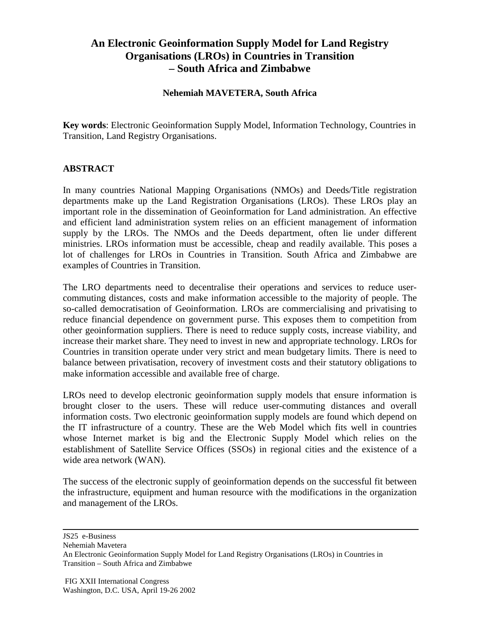## **An Electronic Geoinformation Supply Model for Land Registry Organisations (LROs) in Countries in Transition – South Africa and Zimbabwe**

## **Nehemiah MAVETERA, South Africa**

**Key words**: Electronic Geoinformation Supply Model, Information Technology, Countries in Transition, Land Registry Organisations.

## **ABSTRACT**

In many countries National Mapping Organisations (NMOs) and Deeds/Title registration departments make up the Land Registration Organisations (LROs). These LROs play an important role in the dissemination of Geoinformation for Land administration. An effective and efficient land administration system relies on an efficient management of information supply by the LROs. The NMOs and the Deeds department, often lie under different ministries. LROs information must be accessible, cheap and readily available. This poses a lot of challenges for LROs in Countries in Transition. South Africa and Zimbabwe are examples of Countries in Transition.

The LRO departments need to decentralise their operations and services to reduce usercommuting distances, costs and make information accessible to the majority of people. The so-called democratisation of Geoinformation. LROs are commercialising and privatising to reduce financial dependence on government purse. This exposes them to competition from other geoinformation suppliers. There is need to reduce supply costs, increase viability, and increase their market share. They need to invest in new and appropriate technology. LROs for Countries in transition operate under very strict and mean budgetary limits. There is need to balance between privatisation, recovery of investment costs and their statutory obligations to make information accessible and available free of charge.

LROs need to develop electronic geoinformation supply models that ensure information is brought closer to the users. These will reduce user-commuting distances and overall information costs. Two electronic geoinformation supply models are found which depend on the IT infrastructure of a country. These are the Web Model which fits well in countries whose Internet market is big and the Electronic Supply Model which relies on the establishment of Satellite Service Offices (SSOs) in regional cities and the existence of a wide area network (WAN).

The success of the electronic supply of geoinformation depends on the successful fit between the infrastructure, equipment and human resource with the modifications in the organization and management of the LROs.

JS25 e-Business Nehemiah Mavetera An Electronic Geoinformation Supply Model for Land Registry Organisations (LROs) in Countries in Transition – South Africa and Zimbabwe